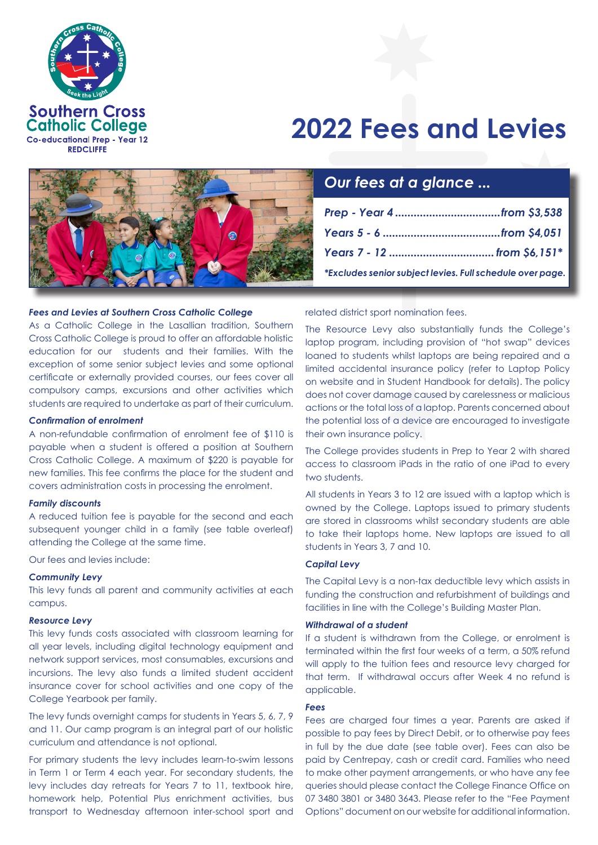

# **2022 Fees and Levies**



# *Fees and Levies at Southern Cross Catholic College*

As a Catholic College in the Lasallian tradition, Southern Cross Catholic College is proud to offer an affordable holistic education for our students and their families. With the exception of some senior subject levies and some optional certificate or externally provided courses, our fees cover all compulsory camps, excursions and other activities which students are required to undertake as part of their curriculum.

### *Confirmation of enrolment*

A non-refundable confirmation of enrolment fee of \$110 is payable when a student is offered a position at Southern Cross Catholic College. A maximum of \$220 is payable for new families. This fee confirms the place for the student and covers administration costs in processing the enrolment.

#### *Family discounts*

A reduced tuition fee is payable for the second and each subsequent younger child in a family (see table overleaf) attending the College at the same time.

Our fees and levies include:

# *Community Levy*

This levy funds all parent and community activities at each campus.

# *Resource Levy*

This levy funds costs associated with classroom learning for all year levels, including digital technology equipment and network support services, most consumables, excursions and incursions. The levy also funds a limited student accident insurance cover for school activities and one copy of the College Yearbook per family.

The levy funds overnight camps for students in Years 5, 6, 7, 9 and 11. Our camp program is an integral part of our holistic curriculum and attendance is not optional.

For primary students the levy includes learn-to-swim lessons in Term 1 or Term 4 each year. For secondary students, the levy includes day retreats for Years 7 to 11, textbook hire, homework help, Potential Plus enrichment activities, bus transport to Wednesday afternoon inter-school sport and related district sport nomination fees.

The Resource Levy also substantially funds the College's laptop program, including provision of "hot swap" devices loaned to students whilst laptops are being repaired and a limited accidental insurance policy (refer to Laptop Policy on website and in Student Handbook for details). The policy does not cover damage caused by carelessness or malicious actions or the total loss of a laptop. Parents concerned about the potential loss of a device are encouraged to investigate their own insurance policy.

The College provides students in Prep to Year 2 with shared access to classroom iPads in the ratio of one iPad to every two students.

All students in Years 3 to 12 are issued with a laptop which is owned by the College. Laptops issued to primary students are stored in classrooms whilst secondary students are able to take their laptops home. New laptops are issued to all students in Years 3, 7 and 10.

# *Capital Levy*

The Capital Levy is a non-tax deductible levy which assists in funding the construction and refurbishment of buildings and facilities in line with the College's Building Master Plan.

### *Withdrawal of a student*

If a student is withdrawn from the College, or enrolment is terminated within the first four weeks of a term, a 50% refund will apply to the tuition fees and resource levy charged for that term. If withdrawal occurs after Week 4 no refund is applicable.

#### *Fees*

Fees are charged four times a year. Parents are asked if possible to pay fees by Direct Debit, or to otherwise pay fees in full by the due date (see table over). Fees can also be paid by Centrepay, cash or credit card. Families who need to make other payment arrangements, or who have any fee queries should please contact the College Finance Office on 07 3480 3801 or 3480 3643. Please refer to the "Fee Payment Options" document on our website for additional information.